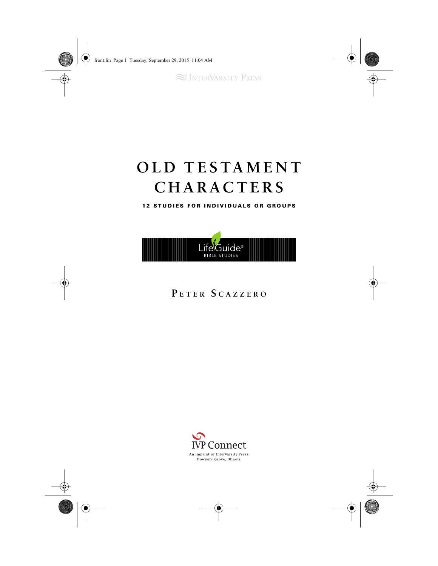**SEX INTERVARSITY PRESS** 

# **OLD TESTAMENT CHARACTERS**

**1 2 STUDIES FOR INDIVIDUALS OR GROUPS**



### **P ETER S <sup>C</sup> AZZERO**

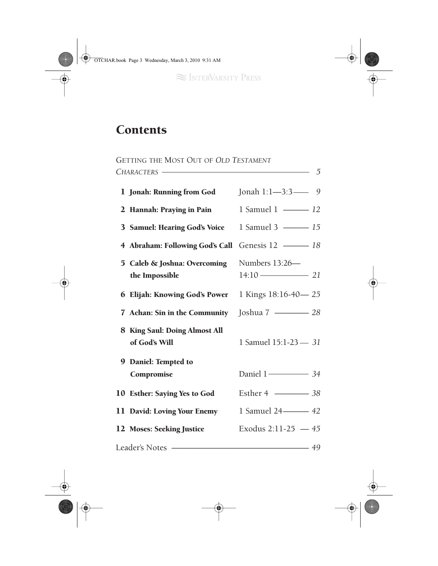# **Contents**

| GETTING THE MOST OUT OF OLD TESTAMENT            |                                                |                              |  |
|--------------------------------------------------|------------------------------------------------|------------------------------|--|
| $\sim$ 5                                         |                                                |                              |  |
|                                                  | 1 Jonah: Running from God                      | Jonah 1:1-3:3-9              |  |
|                                                  | 2 Hannah: Praying in Pain                      | 1 Samuel 1 - 12              |  |
|                                                  | 3 Samuel: Hearing God's Voice                  | 1 Samuel 3 - 15              |  |
|                                                  | 4 Abraham: Following God's Call                | Genesis 12 - 18              |  |
|                                                  | 5 Caleb & Joshua: Overcoming<br>the Impossible | Numbers 13:26-<br>$14:10$ 21 |  |
|                                                  | 6 Elijah: Knowing God's Power                  | 1 Kings 18:16-40-25          |  |
|                                                  | 7 Achan: Sin in the Community                  | Joshua 7 - 28                |  |
|                                                  | 8 King Saul: Doing Almost All<br>of God's Will | 1 Samuel 15:1-23 - 31        |  |
|                                                  | 9 Daniel: Tempted to<br>Compromise             | Daniel 1 <sup>-24</sup>      |  |
|                                                  | 10 Esther: Saying Yes to God                   | Esther 4 <u>2008</u> 38      |  |
|                                                  | 11 David: Loving Your Enemy                    | 1 Samuel 24 - 42             |  |
|                                                  | 12 Moses: Seeking Justice                      | Exodus 2:11-25 $-45$         |  |
| Leader's Notes --------------<br>$\overline{49}$ |                                                |                              |  |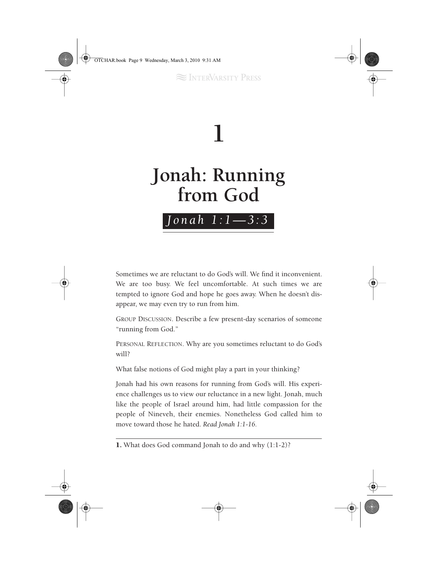



Sometimes we are reluctant to do God's will. We find it inconvenient. We are too busy. We feel uncomfortable. At such times we are tempted to ignore God and hope he goes away. When he doesn't disappear, we may even try to run from him.

GROUP DISCUSSION. Describe a few present-day scenarios of someone "running from God."

PERSONAL REFLECTION. Why are you sometimes reluctant to do God's will?

What false notions of God might play a part in your thinking?

Jonah had his own reasons for running from God's will. His experience challenges us to view our reluctance in a new light. Jonah, much like the people of Israel around him, had little compassion for the people of Nineveh, their enemies. Nonetheless God called him to move toward those he hated. *Read Jonah 1:1-16.*

<sup>1.</sup> What does God command Jonah to do and why (1:1-2)?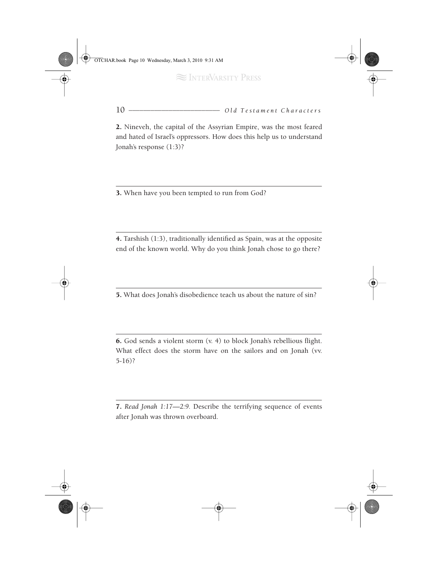10 *\_\_\_\_\_\_\_\_\_\_\_\_\_\_\_\_\_\_\_\_\_\_\_\_\_ Old Testament Characters*

2. Nineveh, the capital of the Assyrian Empire, was the most feared and hated of Israel's oppressors. How does this help us to understand Jonah's response (1:3)?

3. When have you been tempted to run from God?

4. Tarshish (1:3), traditionally identified as Spain, was at the opposite end of the known world. Why do you think Jonah chose to go there?

5. What does Jonah's disobedience teach us about the nature of sin?

6. God sends a violent storm (v. 4) to block Jonah's rebellious flight. What effect does the storm have on the sailors and on Jonah (vv. 5-16)?

7. *Read Jonah 1:17—2:9.* Describe the terrifying sequence of events after Jonah was thrown overboard.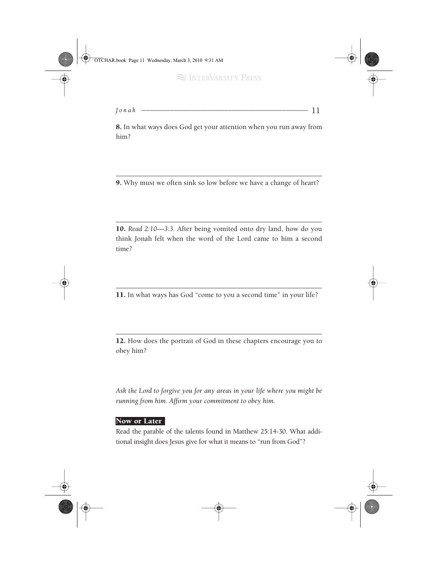*Jonah \_\_\_\_\_\_\_\_\_\_\_\_\_\_\_\_\_\_\_\_\_\_\_\_\_\_\_\_\_\_\_\_\_\_\_\_\_\_\_\_\_\_\_\_\_\_\_\_\_* 11

8. In what ways does God get your attention when you run away from him?

9. Why must we often sink so low before we have a change of heart?

10. *Read 2:10—3:3.* After being vomited onto dry land, how do you think Jonah felt when the word of the Lord came to him a second time?

11. In what ways has God "come to you a second time" in your life?

12. How does the portrait of God in these chapters encourage you to obey him?

*Ask the Lord to forgive you for any areas in your life where you might be running from him. Affirm your commitment to obey him.*

#### Now or Later

Read the parable of the talents found in Matthew 25:14-30. What additional insight does Jesus give for what it means to "run from God"?